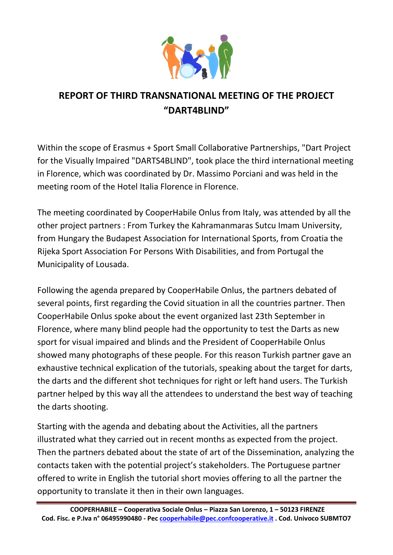

## REPORT OF THIRD TRANSNATIONAL MEETING OF THE PROJECT "DART4BLIND"

Within the scope of Erasmus + Sport Small Collaborative Partnerships, "Dart Project for the Visually Impaired "DARTS4BLIND", took place the third international meeting in Florence, which was coordinated by Dr. Massimo Porciani and was held in the meeting room of the Hotel Italia Florence in Florence.

The meeting coordinated by CooperHabile Onlus from Italy, was attended by all the other project partners : From Turkey the Kahramanmaras Sutcu Imam University, from Hungary the Budapest Association for International Sports, from Croatia the Rijeka Sport Association For Persons With Disabilities, and from Portugal the Municipality of Lousada.

Following the agenda prepared by CooperHabile Onlus, the partners debated of several points, first regarding the Covid situation in all the countries partner. Then CooperHabile Onlus spoke about the event organized last 23th September in Florence, where many blind people had the opportunity to test the Darts as new sport for visual impaired and blinds and the President of CooperHabile Onlus showed many photographs of these people. For this reason Turkish partner gave an exhaustive technical explication of the tutorials, speaking about the target for darts, the darts and the different shot techniques for right or left hand users. The Turkish partner helped by this way all the attendees to understand the best way of teaching the darts shooting.

Starting with the agenda and debating about the Activities, all the partners illustrated what they carried out in recent months as expected from the project. Then the partners debated about the state of art of the Dissemination, analyzing the contacts taken with the potential project's stakeholders. The Portuguese partner offered to write in English the tutorial short movies offering to all the partner the opportunity to translate it then in their own languages.